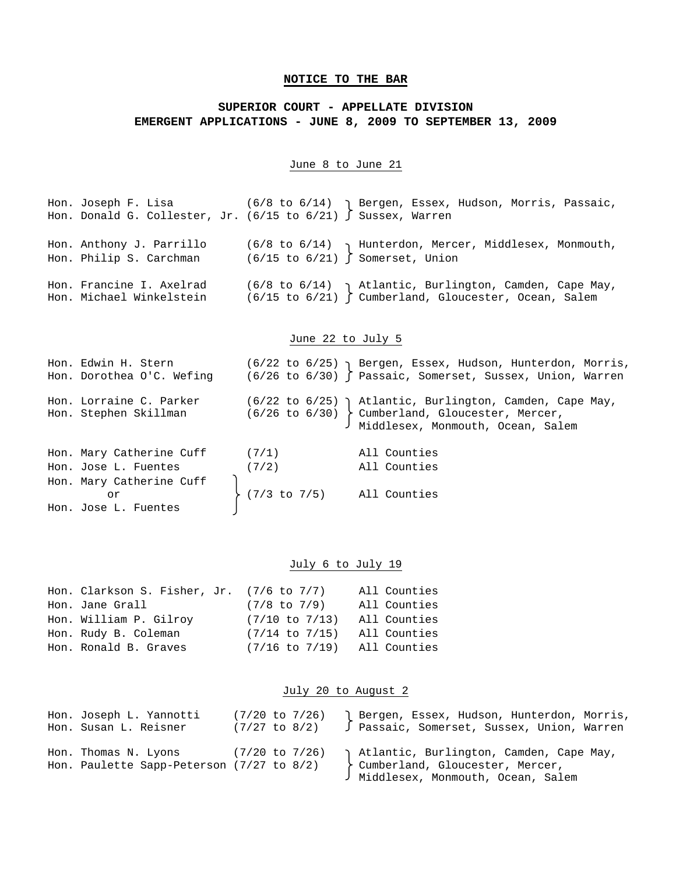# **NOTICE TO THE BAR**

# **SUPERIOR COURT - APPELLATE DIVISION EMERGENT APPLICATIONS - JUNE 8, 2009 TO SEPTEMBER 13, 2009**

### June 8 to June 21

Hon. Joseph F. Lisa (6/8 to 6/14) Bergen, Essex, Hudson, Morris, Passaic, Hon. Donald G. Collester, Jr. (6/15 to 6/21) Sussex, Warren Hon. Anthony J. Parrillo (6/8 to 6/14)  $\gamma$  Hunterdon, Mercer, Middlesex, Monmouth, Hon. Philip S. Carchman (6/15 to 6/21) Somerset, Union Hon. Francine I. Axelrad (6/8 to 6/14)  $\,$  Atlantic, Burlington, Camden, Cape May,  $\,$ Hon. Michael Winkelstein (6/15 to 6/21) Cumberland, Gloucester, Ocean, Salem

# June 22 to July 5

| Hon. Edwin H. Stern<br>Hon. Dorothea O'C. Wefing |                                | (6/22 to 6/25) Bergen, Essex, Hudson, Hunterdon, Morris,<br>$(6/26$ to $6/30)$ Passaic, Somerset, Sussex, Union, Warren                                         |
|--------------------------------------------------|--------------------------------|-----------------------------------------------------------------------------------------------------------------------------------------------------------------|
| Hon. Lorraine C. Parker<br>Hon. Stephen Skillman |                                | $(6/22)$ to $6/25)$ ) Atlantic, Burlington, Camden, Cape May,<br>$(6/26 \text{ to } 6/30)$ cumberland, Gloucester, Mercer,<br>Middlesex, Monmouth, Ocean, Salem |
| Hon. Mary Catherine Cuff $(7/1)$                 |                                | All Counties                                                                                                                                                    |
| (7/2)<br>Hon. Jose L. Fuentes                    |                                | All Counties                                                                                                                                                    |
| Hon. Mary Catherine Cuff                         |                                |                                                                                                                                                                 |
| or                                               | $(7/3$ to $7/5$ ) All Counties |                                                                                                                                                                 |
| Hon. Jose L. Fuentes                             |                                |                                                                                                                                                                 |

### July 6 to July 19

| Hon. Clarkson S. Fisher, Jr. $(7/6$ to $7/7)$ |                    | All Counties |
|-----------------------------------------------|--------------------|--------------|
| Hon. Jane Grall                               | (7/8 to 7/9)       | All Counties |
| Hon. William P. Gilroy                        | $(7/10$ to $7/13)$ | All Counties |
| Hon. Rudy B. Coleman                          | $(7/14$ to $7/15)$ | All Counties |
| Hon. Ronald B. Graves                         | $(7/16$ to $7/19)$ | All Counties |

### July 20 to August 2

| Hon. Joseph L. Yannotti                                               | $(7/20 \text{ to } 7/26)$ | Bergen, Essex, Hudson, Hunterdon, Morris,  |
|-----------------------------------------------------------------------|---------------------------|--------------------------------------------|
| Hon. Susan L. Reisner                                                 | (7/27 to 8/2)             | J Passaic, Somerset, Sussex, Union, Warren |
| Hon. Thomas N. Lyons<br>Hon. Paulette Sapp-Peterson $(7/27$ to $8/2)$ | (7/20 to 7/26)            |                                            |